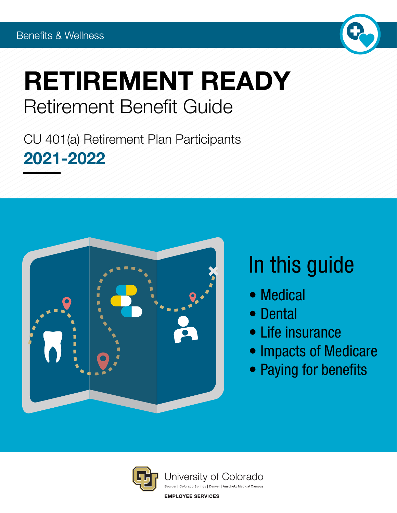

# RETIREMENT READY Retirement Benefit Guide

CU 401(a) Retirement Plan Participants 2021-2022



# In this guide

- Medical
- Dental
- Life insurance
- Impacts of Medicare
- Paying for benefits

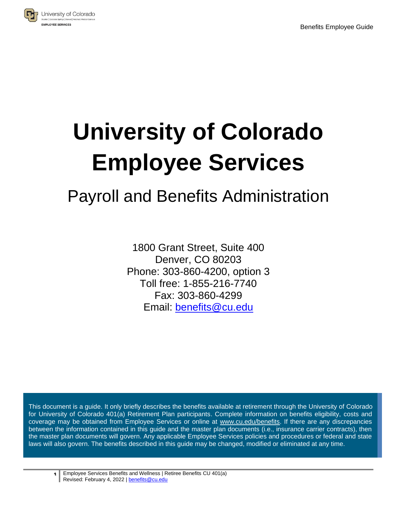

# **University of Colorado Employee Services**

# Payroll and Benefits Administration

1800 Grant Street, Suite 400 Denver, CO 80203 Phone: 303-860-4200, option 3 Toll free: 1-855-216-7740 Fax: 303-860-4299 Email: [benefits@cu.edu](mailto:benefits@cu.edu)

This document is a guide. It only briefly describes the benefits available at retirement through the University of Colorado for University of Colorado 401(a) Retirement Plan participants. Complete information on benefits eligibility, costs and coverage may be obtained from Employee Services or online at [www.cu.edu/benefits.](http://www.cu.edu/benefits) If there are any discrepancies between the information contained in this guide and the master plan documents (i.e., insurance carrier contracts), then the master plan documents will govern. Any applicable Employee Services policies and procedures or federal and state laws will also govern. The benefits described in this guide may be changed, modified or eliminated at any time.

**1** Employee Services Benefits and Wellness | Retiree Benefits CU 401(a) Revised: February 4, 2022 [| benefits@cu.edu](mailto:benefits@cu.edu)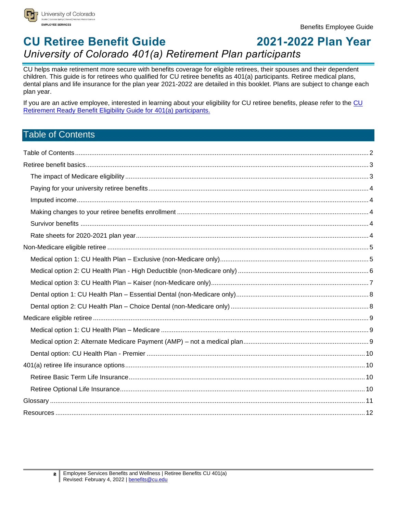

## **CU Retiree Benefit Guide 2021-2022 Plan Year** *University of Colorado 401(a) Retirement Plan participants*

CU helps make retirement more secure with benefits coverage for eligible retirees, their spouses and their dependent children. This guide is for retirees who qualified for CU retiree benefits as 401(a) participants. Retiree medical plans, dental plans and life insurance for the plan year 2021-2022 are detailed in this booklet. Plans are subject to change each plan year.

If you are an active employee, interested in learning about your eligibility for [CU](http://www.cu.edu/node/243392) retiree benefits, please refer to the CU [Retirement Ready Benefit Eligibility Guide for 401\(a\) participants.](http://www.cu.edu/node/243392)

### <span id="page-2-0"></span>Table of Contents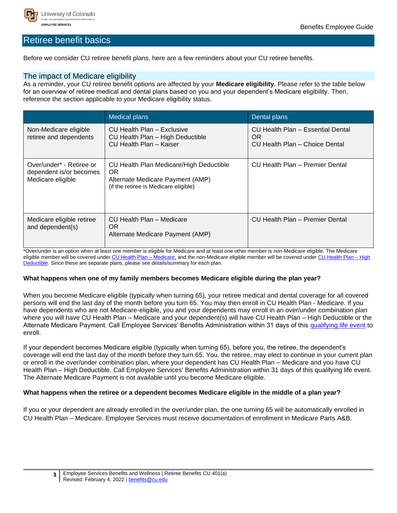

#### <span id="page-3-0"></span>Retiree benefit basics

Before we consider CU retiree benefit plans, here are a few reminders about your CU retiree benefits.

#### <span id="page-3-1"></span>The impact of Medicare eligibility

As a reminder, your CU retiree benefit options are affected by your **Medicare eligibility**. Please refer to the table below for an overview of retiree medical and dental plans based on you and your dependent's Medicare eligibility. Then, reference the section applicable to your Medicare eligibility status.

|                                                                          | <b>Medical plans</b>                                                                                                        | Dental plans                                                               |
|--------------------------------------------------------------------------|-----------------------------------------------------------------------------------------------------------------------------|----------------------------------------------------------------------------|
| Non-Medicare eligible<br>retiree and dependents                          | CU Health Plan - Exclusive<br>CU Health Plan - High Deductible<br>CU Health Plan - Kaiser                                   | CU Health Plan - Essential Dental<br>OR.<br>CU Health Plan - Choice Dental |
| Over/under* - Retiree or<br>dependent is/or becomes<br>Medicare eligible | CU Health Plan Medicare/High Deductible<br>OR.<br>Alternate Medicare Payment (AMP)<br>(if the retiree is Medicare eligible) | CU Health Plan - Premier Dental                                            |
| Medicare eligible retiree<br>and dependent(s)                            | CU Health Plan - Medicare<br>OR.<br>Alternate Medicare Payment (AMP)                                                        | CU Health Plan - Premier Dental                                            |

\*Over/under is an option when at least one member is eligible for Medicare and at least one other member is non-Medicare eligible. The Medicare eligible member will be covered unde[r CU Health Plan –](http://www.cu.edu/node/166616) Medicare, and the non-Medicare eligible member will be covered under CU Health Plan – High [Deductible.](http://www.cu.edu/node/166616) Since these are separate plans, please see details/summary for each plan.

#### **What happens when one of my family members becomes Medicare eligible during the plan year?**

When you become Medicare eligible (typically when turning 65), your retiree medical and dental coverage for all covered persons will end the last day of the month before you turn 65. You may then enroll in CU Health Plan - Medicare. If you have dependents who are not Medicare-eligible, you and your dependents may enroll in an over/under combination plan where you will have CU Health Plan – Medicare and your dependent(s) will have CU Health Plan – High Deductible or the Alternate Medicare Payment. Call Employee Services' Benefits Administration within 31 days of this [qualifying life event](https://www.cu.edu/employee-services/benefits-wellness/retiree/life-changes) to enroll.

If your dependent becomes Medicare eligible (typically when turning 65), before you, the retiree, the dependent's coverage will end the last day of the month before they turn 65. You, the retiree, may elect to continue in your current plan or enroll in the over/under combination plan, where your dependent has CU Health Plan – Medicare and you have CU Health Plan – High Deductible. Call Employee Services' Benefits Administration within 31 days of this qualifying life event. The Alternate Medicare Payment is not available until you become Medicare eligible.

#### **What happens when the retiree or a dependent becomes Medicare eligible in the middle of a plan year?**

If you or your dependent are already enrolled in the over/under plan, the one turning 65 will be automatically enrolled in CU Health Plan – Medicare. Employee Services must receive documentation of enrollment in Medicare Parts A&B.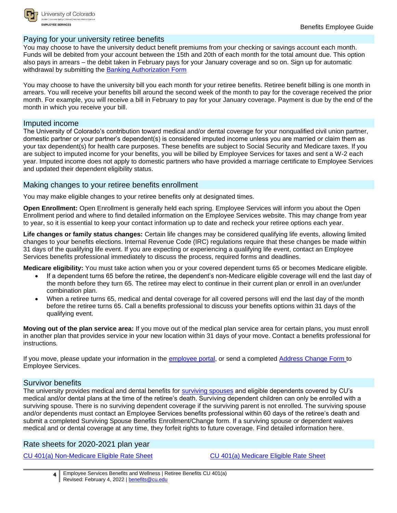

University of Colorado **EMPLOYEE SERVICES** 

#### <span id="page-4-0"></span>Paying for your university retiree benefits

You may choose to have the university deduct benefit premiums from your checking or savings account each month. Funds will be debited from your account between the 15th and 20th of each month for the total amount due. This option also pays in arrears – the debit taken in February pays for your January coverage and so on. Sign up for automatic withdrawal by submitting the [Banking Authorization Form](https://www.cu.edu/docs/banking-authorization-form-instructions)

You may choose to have the university bill you each month for your retiree benefits. Retiree benefit billing is one month in arrears. You will receive your benefits bill around the second week of the month to pay for the coverage received the prior month. For example, you will receive a bill in February to pay for your January coverage. Payment is due by the end of the month in which you receive your bill.

#### <span id="page-4-1"></span>Imputed income

The University of Colorado's contribution toward medical and/or dental coverage for your nonqualified civil union partner, domestic partner or your partner's dependent(s) is considered imputed income unless you are married or claim them as your tax dependent(s) for health care purposes. These benefits are subject to Social Security and Medicare taxes. If you are subject to imputed income for your benefits, you will be billed by Employee Services for taxes and sent a W-2 each year. Imputed income does not apply to domestic partners who have provided a marriage certificate to Employee Services and updated their dependent eligibility status.

#### <span id="page-4-2"></span>Making changes to your retiree benefits enrollment

You may make eligible changes to your retiree benefits only at designated times.

**Open Enrollment:** Open Enrollment is generally held each spring. Employee Services will inform you about the Open Enrollment period and where to find detailed information on the Employee Services website. This may change from year to year, so it is essential to keep your contact information up to date and recheck your retiree options each year.

**Life changes or family status changes:** Certain life changes may be considered qualifying life events, allowing limited changes to your benefits elections. Internal Revenue Code (IRC) regulations require that these changes be made within 31 days of the qualifying life event. If you are expecting or experiencing a qualifying life event, contact an Employee Services benefits professional immediately to discuss the process, required forms and deadlines.

**Medicare eligibility:** You must take action when you or your covered dependent turns 65 or becomes Medicare eligible.

- If a dependent turns 65 before the retiree, the dependent's non-Medicare eligible coverage will end the last day of the month before they turn 65. The retiree may elect to continue in their current plan or enroll in an over/under combination plan.
- When a retiree turns 65, medical and dental coverage for all covered persons will end the last day of the month before the retiree turns 65. Call a benefits professional to discuss your benefits options within 31 days of the qualifying event.

**Moving out of the plan service area:** If you move out of the medical plan service area for certain plans, you must enroll in another plan that provides service in your new location within 31 days of your move. Contact a benefits professional for instructions.

If you move, please update your information in the [employee portal,](http://www.my.cu.edu/) or send a completed [Address Change Form](http://www.cu.edu/node/115910) to Employee Services.

#### <span id="page-4-3"></span>Survivor benefits

The university provides medical and dental benefits for [surviving spouses](http://www.cu.edu/node/166600) and eligible dependents covered by CU's medical and/or dental plans at the time of the retiree's death. Surviving dependent children can only be enrolled with a surviving spouse. There is no surviving dependent coverage if the surviving parent is not enrolled. The surviving spouse and/or dependents must contact an Employee Services benefits professional within 60 days of the retiree's death and submit a completed Surviving Spouse Benefits Enrollment/Change form. If a surviving spouse or dependent waives medical and or dental coverage at any time, they forfeit rights to future coverage. Find detailed information here.

#### <span id="page-4-4"></span>Rate sheets for 2020-2021 plan year

[CU 401\(a\) Non-Medicare Eligible Rate Sheet](http://www.cu.edu/node/168720) [CU 401\(a\) Medicare Eligible Rate Sheet](http://www.cu.edu/node/115899) 

**<sup>4</sup>** Employee Services Benefits and Wellness | Retiree Benefits CU 401(a) Revised: February 4, 2022 [| benefits@cu.edu](mailto:benefits@cu.edu)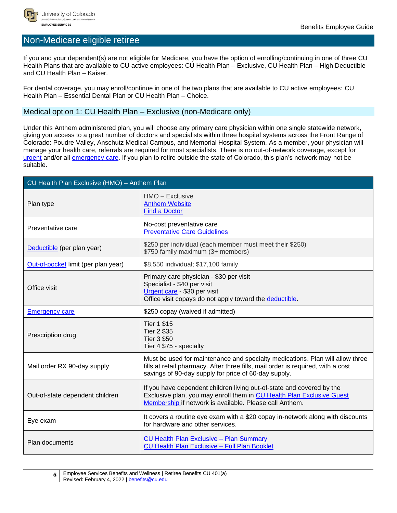

### <span id="page-5-0"></span>Non-Medicare eligible retiree

If you and your dependent(s) are not eligible for Medicare, you have the option of enrolling/continuing in one of three CU Health Plans that are available to CU active employees: CU Health Plan – Exclusive, CU Health Plan – High Deductible and CU Health Plan – Kaiser.

For dental coverage, you may enroll/continue in one of the two plans that are available to CU active employees: CU Health Plan – Essential Dental Plan or CU Health Plan – Choice.

#### <span id="page-5-1"></span>Medical option 1: CU Health Plan – Exclusive (non-Medicare only)

Under this Anthem administered plan, you will choose any primary care physician within one single statewide network, giving you access to a great number of doctors and specialists within three hospital systems across the Front Range of Colorado: Poudre Valley, Anschutz Medical Campus, and Memorial Hospital System. As a member, your physician will manage your health care, referrals are required for most specialists. There is no out-of-network coverage, except for [urgent](#page-11-0) and/or all [emergency care.](#page-11-0) If you plan to retire outside the state of Colorado, this plan's network may not be suitable.

| CU Health Plan Exclusive (HMO) - Anthem Plan |                                                                                                                                                                                                                           |  |
|----------------------------------------------|---------------------------------------------------------------------------------------------------------------------------------------------------------------------------------------------------------------------------|--|
| Plan type                                    | HMO - Exclusive<br><b>Anthem Website</b><br><b>Find a Doctor</b>                                                                                                                                                          |  |
| Preventative care                            | No-cost preventative care<br><b>Preventative Care Guidelines</b>                                                                                                                                                          |  |
| Deductible (per plan year)                   | \$250 per individual (each member must meet their \$250)<br>\$750 family maximum (3+ members)                                                                                                                             |  |
| Out-of-pocket limit (per plan year)          | \$8,550 individual; \$17,100 family                                                                                                                                                                                       |  |
| Office visit                                 | Primary care physician - \$30 per visit<br>Specialist - \$40 per visit<br>Urgent care - \$30 per visit<br>Office visit copays do not apply toward the deductible.                                                         |  |
| <b>Emergency care</b>                        | \$250 copay (waived if admitted)                                                                                                                                                                                          |  |
| Prescription drug                            | <b>Tier 1 \$15</b><br><b>Tier 2 \$35</b><br><b>Tier 3 \$50</b><br>Tier 4 \$75 - specialty                                                                                                                                 |  |
| Mail order RX 90-day supply                  | Must be used for maintenance and specialty medications. Plan will allow three<br>fills at retail pharmacy. After three fills, mail order is required, with a cost<br>savings of 90-day supply for price of 60-day supply. |  |
| Out-of-state dependent children              | If you have dependent children living out-of-state and covered by the<br>Exclusive plan, you may enroll them in CU Health Plan Exclusive Guest<br>Membership if network is available. Please call Anthem.                 |  |
| Eye exam                                     | It covers a routine eye exam with a \$20 copay in-network along with discounts<br>for hardware and other services.                                                                                                        |  |
| Plan documents                               | <b>CU Health Plan Exclusive - Plan Summary</b><br>CU Health Plan Exclusive - Full Plan Booklet                                                                                                                            |  |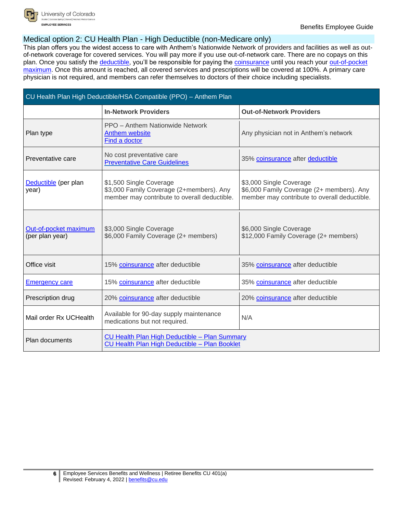

#### <span id="page-6-0"></span>Medical option 2: CU Health Plan - High Deductible (non-Medicare only)

This plan offers you the widest access to care with Anthem's Nationwide Network of providers and facilities as well as outof-network coverage for covered services. You will pay more if you use out-of-network care. There are no copays on this plan. Once you satisfy the [deductible,](#page-11-0) you'll be responsible for paying the [coinsurance](#page-11-0) until you reach your out-of-pocket [maximum.](#page-11-0) Once this amount is reached, all covered services and prescriptions will be covered at 100%. A primary care physician is not required, and members can refer themselves to doctors of their choice including specialists.

| CU Health Plan High Deductible/HSA Compatible (PPO) - Anthem Plan |                                                                                                                     |                                                                                                                      |
|-------------------------------------------------------------------|---------------------------------------------------------------------------------------------------------------------|----------------------------------------------------------------------------------------------------------------------|
|                                                                   | <b>In-Network Providers</b>                                                                                         | <b>Out-of-Network Providers</b>                                                                                      |
| Plan type                                                         | PPO - Anthem Nationwide Network<br>Anthem website<br>Find a doctor                                                  | Any physician not in Anthem's network                                                                                |
| Preventative care                                                 | No cost preventative care<br><b>Preventative Care Guidelines</b>                                                    | 35% coinsurance after deductible                                                                                     |
| Deductible (per plan<br>year)                                     | \$1,500 Single Coverage<br>\$3,000 Family Coverage (2+members). Any<br>member may contribute to overall deductible. | \$3,000 Single Coverage<br>\$6,000 Family Coverage (2+ members). Any<br>member may contribute to overall deductible. |
| Out-of-pocket maximum<br>(per plan year)                          | \$3,000 Single Coverage<br>\$6,000 Family Coverage (2+ members)                                                     | \$6,000 Single Coverage<br>\$12,000 Family Coverage (2+ members)                                                     |
| Office visit                                                      | 15% coinsurance after deductible                                                                                    | 35% coinsurance after deductible                                                                                     |
| <b>Emergency care</b>                                             | 15% coinsurance after deductible                                                                                    | 35% coinsurance after deductible                                                                                     |
| Prescription drug                                                 | 20% coinsurance after deductible                                                                                    | 20% coinsurance after deductible                                                                                     |
| Mail order Rx UCHealth                                            | Available for 90-day supply maintenance<br>medications but not required.                                            | N/A                                                                                                                  |
| Plan documents                                                    | CU Health Plan High Deductible - Plan Summary<br>CU Health Plan High Deductible - Plan Booklet                      |                                                                                                                      |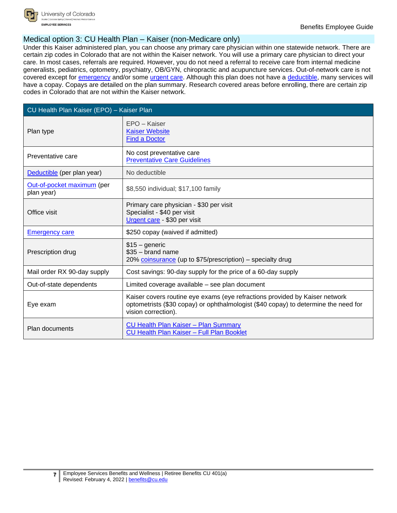

University of Colorado **EMPLOYEE SERVICES** 

#### <span id="page-7-0"></span>Medical option 3: CU Health Plan – Kaiser (non-Medicare only)

Under this Kaiser administered plan, you can choose any primary care physician within one statewide network. There are certain zip codes in Colorado that are not within the Kaiser network. You will use a primary care physician to direct your care. In most cases, referrals are required. However, you do not need a referral to receive care from internal medicine generalists, pediatrics, optometry, psychiatry, OB/GYN, chiropractic and acupuncture services. Out-of-network care is not covered except for [emergency](#page-11-0) and/or some [urgent care.](#page-11-0) Although this plan does not have a [deductible,](#page-11-0) many services will have a copay. Copays are detailed on the plan summary. Research covered areas before enrolling, there are certain zip codes in Colorado that are not within the Kaiser network.

| CU Health Plan Kaiser (EPO) - Kaiser Plan |                                                                                                                                                                                           |  |
|-------------------------------------------|-------------------------------------------------------------------------------------------------------------------------------------------------------------------------------------------|--|
| Plan type                                 | EPO - Kaiser<br><b>Kaiser Website</b><br><b>Find a Doctor</b>                                                                                                                             |  |
| Preventative care                         | No cost preventative care<br><b>Preventative Care Guidelines</b>                                                                                                                          |  |
| Deductible (per plan year)                | No deductible                                                                                                                                                                             |  |
| Out-of-pocket maximum (per<br>plan year)  | \$8,550 individual; \$17,100 family                                                                                                                                                       |  |
| Office visit                              | Primary care physician - \$30 per visit<br>Specialist - \$40 per visit<br>Urgent care - \$30 per visit                                                                                    |  |
| <b>Emergency care</b>                     | \$250 copay (waived if admitted)                                                                                                                                                          |  |
| Prescription drug                         | $$15 - generic$<br>$$35 - brand name$<br>20% coinsurance (up to \$75/prescription) – specialty drug                                                                                       |  |
| Mail order RX 90-day supply               | Cost savings: 90-day supply for the price of a 60-day supply                                                                                                                              |  |
| Out-of-state dependents                   | Limited coverage available – see plan document                                                                                                                                            |  |
| Eye exam                                  | Kaiser covers routine eye exams (eye refractions provided by Kaiser network<br>optometrists (\$30 copay) or ophthalmologist (\$40 copay) to determine the need for<br>vision correction). |  |
| Plan documents                            | <b>CU Health Plan Kaiser - Plan Summary</b><br>CU Health Plan Kaiser - Full Plan Booklet                                                                                                  |  |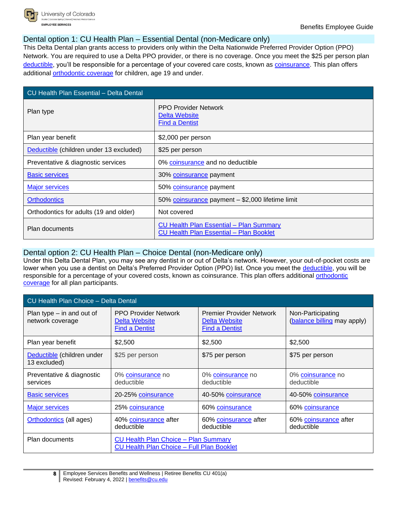

#### <span id="page-8-0"></span>Dental option 1: CU Health Plan – Essential Dental (non-Medicare only)

This Delta Dental plan grants access to providers only within the Delta Nationwide Preferred Provider Option (PPO) Network. You are required to use a Delta PPO provider, or there is no coverage. Once you meet the \$25 per person plan [deductible,](#page-11-0) you'll be responsible for a percentage of your covered care costs, known as [coinsurance.](#page-11-0) This plan offers additional [orthodontic coverage](#page-11-0) for children, age 19 and under.

| <b>CU Health Plan Essential - Delta Dental</b> |                                                                                                  |  |
|------------------------------------------------|--------------------------------------------------------------------------------------------------|--|
| Plan type                                      | <b>PPO Provider Network</b><br>Delta Website<br><b>Find a Dentist</b>                            |  |
| Plan year benefit                              | \$2,000 per person                                                                               |  |
| Deductible (children under 13 excluded)        | \$25 per person                                                                                  |  |
| Preventative & diagnostic services             | 0% coinsurance and no deductible                                                                 |  |
| <b>Basic services</b>                          | 30% coinsurance payment                                                                          |  |
| <b>Major services</b>                          | 50% coinsurance payment                                                                          |  |
| <b>Orthodontics</b>                            | 50% coinsurance payment - \$2,000 lifetime limit                                                 |  |
| Orthodontics for adults (19 and older)         | Not covered                                                                                      |  |
| Plan documents                                 | <b>CU Health Plan Essential - Plan Summary</b><br><b>CU Health Plan Essential - Plan Booklet</b> |  |

#### <span id="page-8-1"></span>Dental option 2: CU Health Plan – Choice Dental (non-Medicare only)

Under this Delta Dental Plan, you may see any dentist in or out of Delta's network. However, your out-of-pocket costs are lower when you use a dentist on Delta's Preferred Provider Option (PPO) list. Once you meet the [deductible,](#page-11-0) you will be responsible for a percentage of your covered costs, known as coinsurance. This plan offers additional [orthodontic](#page-11-0)  [coverage](#page-11-0) for all plan participants.

| CU Health Plan Choice - Delta Dental            |                                                                                                 |                                                                           |                                                  |
|-------------------------------------------------|-------------------------------------------------------------------------------------------------|---------------------------------------------------------------------------|--------------------------------------------------|
| Plan type $-$ in and out of<br>network coverage | <b>PPO Provider Network</b><br>Delta Website<br><b>Find a Dentist</b>                           | <b>Premier Provider Network</b><br>Delta Website<br><b>Find a Dentist</b> | Non-Participating<br>(balance billing may apply) |
| Plan year benefit                               | \$2,500                                                                                         | \$2,500                                                                   | \$2,500                                          |
| Deductible (children under<br>13 excluded)      | \$25 per person                                                                                 | \$75 per person                                                           | \$75 per person                                  |
| Preventative & diagnostic<br>services           | 0% coinsurance no<br>deductible                                                                 | 0% coinsurance no<br>deductible                                           | 0% coinsurance no<br>deductible                  |
| <b>Basic services</b>                           | 20-25% coinsurance                                                                              | 40-50% coinsurance                                                        | 40-50% coinsurance                               |
| <b>Major services</b>                           | 25% coinsurance                                                                                 | 60% coinsurance                                                           | 60% coinsurance                                  |
| <b>Orthodontics</b> (all ages)                  | 40% coinsurance after<br>deductible                                                             | 60% coinsurance after<br>deductible                                       | 60% coinsurance after<br>deductible              |
| Plan documents                                  | <b>CU Health Plan Choice - Plan Summary</b><br><b>CU Health Plan Choice - Full Plan Booklet</b> |                                                                           |                                                  |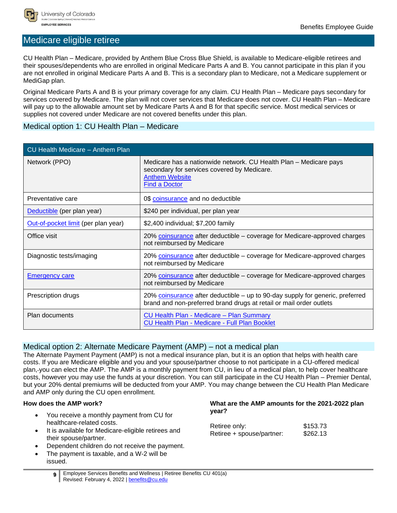

#### <span id="page-9-0"></span>Medicare eligible retiree

CU Health Plan – Medicare, provided by Anthem Blue Cross Blue Shield, is available to Medicare-eligible retirees and their spouses/dependents who are enrolled in original Medicare Parts A and B. You cannot participate in this plan if you are not enrolled in original Medicare Parts A and B. This is a secondary plan to Medicare, not a Medicare supplement or MediGap plan.

Original Medicare Parts A and B is your primary coverage for any claim. CU Health Plan – Medicare pays secondary for services covered by Medicare. The plan will not cover services that Medicare does not cover. CU Health Plan – Medicare will pay up to the allowable amount set by Medicare Parts A and B for that specific service. Most medical services or supplies not covered under Medicare are not covered benefits under this plan.

#### <span id="page-9-1"></span>Medical option 1: CU Health Plan – Medicare

| CU Health Medicare - Anthem Plan    |                                                                                                                                                                   |
|-------------------------------------|-------------------------------------------------------------------------------------------------------------------------------------------------------------------|
| Network (PPO)                       | Medicare has a nationwide network. CU Health Plan - Medicare pays<br>secondary for services covered by Medicare.<br><b>Anthem Website</b><br><b>Find a Doctor</b> |
| Preventative care                   | 0\$ coinsurance and no deductible                                                                                                                                 |
| Deductible (per plan year)          | \$240 per individual, per plan year                                                                                                                               |
| Out-of-pocket limit (per plan year) | \$2,400 individual; \$7,200 family                                                                                                                                |
| Office visit                        | 20% coinsurance after deductible – coverage for Medicare-approved charges<br>not reimbursed by Medicare                                                           |
| Diagnostic tests/imaging            | 20% coinsurance after deductible – coverage for Medicare-approved charges<br>not reimbursed by Medicare                                                           |
| <b>Emergency care</b>               | 20% coinsurance after deductible – coverage for Medicare-approved charges<br>not reimbursed by Medicare                                                           |
| Prescription drugs                  | 20% coinsurance after deductible – up to 90-day supply for generic, preferred<br>brand and non-preferred brand drugs at retail or mail order outlets              |
| <b>Plan documents</b>               | CU Health Plan - Medicare - Plan Summary<br><b>CU Health Plan - Medicare - Full Plan Booklet</b>                                                                  |

#### <span id="page-9-2"></span>Medical option 2: Alternate Medicare Payment (AMP) – not a medical plan

The Alternate Payment Payment (AMP) is not a medical insurance plan, but it is an option that helps with health care costs. If you are Medicare eligible and you and your spouse/partner choose to not participate in a CU-offered medical plan, you can elect the AMP. The AMP is a monthly payment from CU, in lieu of a medical plan, to help cover healthcare costs, however you may use the funds at your discretion. You can still participate in the CU Health Plan – Premier Dental, but your 20% dental premiums will be deducted from your AMP. You may change between the CU Health Plan Medicare and AMP only during the CU open enrollment.

#### **How does the AMP work?**

- You receive a monthly payment from CU for healthcare-related costs.
- It is available for Medicare-eligible retirees and their spouse/partner.
- Dependent children do not receive the payment.
- The payment is taxable, and a W-2 will be issued.

#### **What are the AMP amounts for the 2021-2022 plan year?**

| Retiree only:             | \$153.73 |
|---------------------------|----------|
| Retiree + spouse/partner: | \$262.13 |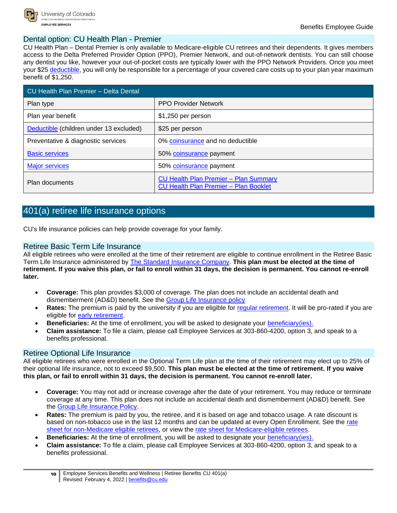

#### <span id="page-10-0"></span>Dental option: CU Health Plan - Premier

CU Health Plan – Dental Premier is only available to Medicare-eligible CU retirees and their dependents. It gives members access to the Delta Preferred Provider Option (PPO), Premier Network, and out-of-network dentists. You can still choose any dentist you like, however your out-of-pocket costs are typically lower with the PPO Network Providers. Once you meet your \$25 [deductible,](#page-11-0) you will only be responsible for a percentage of your covered care costs up to your plan year maximum benefit of \$1,250.

| CU Health Plan Premier - Delta Dental   |                                                                                              |  |
|-----------------------------------------|----------------------------------------------------------------------------------------------|--|
| Plan type                               | <b>PPO Provider Network</b>                                                                  |  |
| Plan year benefit                       | \$1,250 per person                                                                           |  |
| Deductible (children under 13 excluded) | \$25 per person                                                                              |  |
| Preventative & diagnostic services      | 0% coinsurance and no deductible                                                             |  |
| <b>Basic services</b>                   | 50% coinsurance payment                                                                      |  |
| <b>Major services</b>                   | 50% coinsurance payment                                                                      |  |
| Plan documents                          | <b>CU Health Plan Premier - Plan Summary</b><br><b>CU Health Plan Premier - Plan Booklet</b> |  |

### <span id="page-10-1"></span>401(a) retiree life insurance options

CU's life insurance policies can help provide coverage for your family.

#### <span id="page-10-2"></span>Retiree Basic Term Life Insurance

All eligible retirees who were enrolled at the time of their retirement are eligible to continue enrollment in the Retiree Basic Term Life Insurance administered by [The Standard Insurance Company.](#page-12-0) **This plan must be elected at the time of retirement. If you waive this plan, or fail to enroll within 31 days, the decision is permanent. You cannot re-enroll later.**

- **Coverage:** This plan provides \$3,000 of coverage. The plan does not include an accidental death and dismemberment (AD&D) benefit. See the [Group Life Insurance policy.](https://www.cu.edu/docs/group-life-insurance-policy)
- Rates: The [premium](https://www.cu.edu/es-benefits-glossary/premium) is paid by the university if you are eligible for regular [retirement.](#page-11-0) It will be pro-rated if you are eligible for [early retirement.](#page-11-0)
- **[Beneficiaries:](https://www.cu.edu/es-benefits-glossary/beneficiary-ies)** At the time of enrollment, you will be asked to designate your [beneficiary\(ies\).](#page-11-0)
- **[Claim](https://www.cu.edu/es-benefits-glossary/claim) assistance:** To file a claim, please call Employee Services at 303-860-4200, option 3, and speak to a benefits professional.

#### <span id="page-10-3"></span>Retiree Optional Life Insurance

All eligible retirees who were enrolled in the Optional Term Life plan at the time of their retirement may elect up to 25% of their optional life insurance, not to exceed \$9,500. **This plan must be elected at the time of retirement. If you waive this plan, or fail to enroll within 31 days, the decision is permanent. You cannot re-enroll later.**

- **Coverage:** You may not add or increase coverage after the date of your retirement. You may reduce or terminate coverage at any time. This plan does not include an accidental death and dismemberment (AD&D) benefit. See the [Group Life Insurance Policy.](https://www.cu.edu/docs/group-life-insurance-policy)
- **Rates:** The [premium](https://www.cu.edu/es-benefits-glossary/premium) is paid by you, the retiree, and it is based on age and tobacco usage. A rate discount is based on non-tobacco use in the last 12 months and can be updated at every Open Enrollment. See the [rate](https://www.cu.edu/docs/non-medicare-eligible-retiree-rate-sheet)  [sheet for non-Medicare eligible retirees,](https://www.cu.edu/docs/non-medicare-eligible-retiree-rate-sheet) or view the [rate sheet for Medicare-eligible retirees.](https://www.cu.edu/docs/medicare-eligible-retiree-rate-sheet)
- **Beneficiaries:** At the time of enrollment, you will be asked to designate your [beneficiary\(ies\).](#page-11-0)
- **[Claim](https://www.cu.edu/es-benefits-glossary/claim) assistance:** To file a claim, please call Employee Services at 303-860-4200, option 3, and speak to a benefits professional.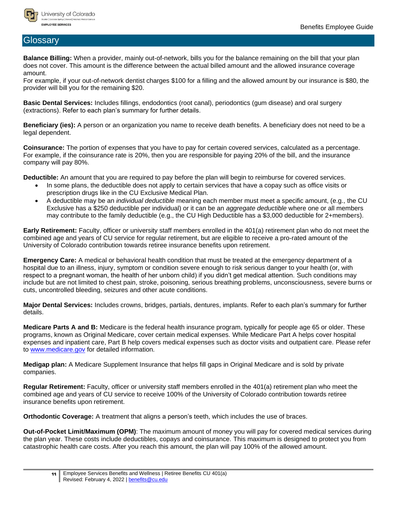

#### <span id="page-11-0"></span>Glossary

**Balance Billing:** When a provider, mainly out-of-network, bills you for the balance remaining on the bill that your plan does not cover. This amount is the difference between the actual billed amount and the allowed insurance coverage amount.

For example, if your out-of-network dentist charges \$100 for a filling and the allowed amount by our insurance is \$80, the provider will bill you for the remaining \$20.

**Basic Dental Services:** Includes fillings, endodontics (root canal), periodontics (gum disease) and oral surgery (extractions). Refer to each plan's summary for further details.

**Beneficiary (ies):** A person or an organization you name to receive death benefits. A beneficiary does not need to be a legal dependent.

**Coinsurance:** The portion of expenses that you have to pay for certain covered services, calculated as a percentage. For example, if the coinsurance rate is 20%, then you are responsible for paying 20% of the bill, and the insurance company will pay 80%.

**Deductible:** An amount that you are required to pay before the plan will begin to reimburse for covered services.

- In some plans, the deductible does not apply to certain services that have a copay such as office visits or prescription drugs like in the CU Exclusive Medical Plan.
- A deductible may be an *individual deductible* meaning each member must meet a specific amount, (e.g., the CU Exclusive has a \$250 deductible per individual) or it can be an *aggregate deductible* where one or all members may contribute to the family deductible (e.g., the CU High Deductible has a \$3,000 deductible for 2+members).

**Early Retirement:** Faculty, officer or university staff members enrolled in the 401(a) retirement plan who do not meet the combined age and years of CU service for regular retirement, but are eligible to receive a pro-rated amount of the University of Colorado contribution towards retiree insurance benefits upon retirement.

**Emergency Care:** A medical or behavioral health condition that must be treated at the emergency department of a hospital due to an illness, injury, symptom or condition severe enough to risk serious danger to your health (or, with respect to a pregnant woman, the health of her unborn child) if you didn't get medical attention. Such conditions may include but are not limited to chest pain, stroke, poisoning, serious breathing problems, unconsciousness, severe burns or cuts, uncontrolled bleeding, seizures and other acute conditions.

**Major Dental Services:** Includes crowns, bridges, partials, dentures, implants. Refer to each plan's summary for further details.

**Medicare Parts A and B:** Medicare is the federal health insurance program, typically for people age 65 or older. These programs, known as Original Medicare, cover certain medical expenses. While Medicare Part A helps cover hospital expenses and inpatient care, Part B help covers medical expenses such as doctor visits and outpatient care. Please refer to [www.medicare.gov](http://www.medicare.gov/) for detailed information.

**Medigap plan:** A Medicare Supplement Insurance that helps fill gaps in Original Medicare and is sold by private companies.

**Regular Retirement:** Faculty, officer or university staff members enrolled in the 401(a) retirement plan who meet the combined age and years of CU service to receive 100% of the University of Colorado contribution towards retiree insurance benefits upon retirement.

**Orthodontic Coverage:** A treatment that aligns a person's teeth, which includes the use of braces.

**Out-of-Pocket Limit/Maximum (OPM)**: The maximum amount of money you will pay for covered medical services during the plan year. These costs include deductibles, copays and coinsurance. This maximum is designed to protect you from catastrophic health care costs. After you reach this amount, the plan will pay 100% of the allowed amount.

**<sup>11</sup>** Employee Services Benefits and Wellness | Retiree Benefits CU 401(a) Revised: February 4, 2022 [| benefits@cu.edu](mailto:benefits@cu.edu)